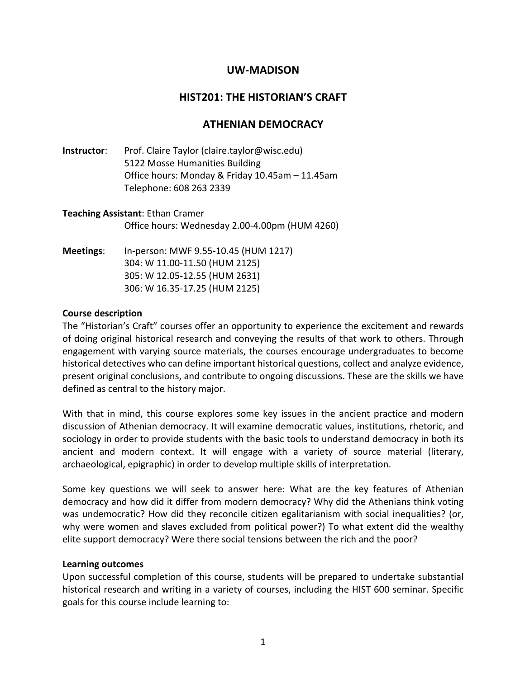# **UW-MADISON**

# **HIST201: THE HISTORIAN'S CRAFT**

# **ATHENIAN DEMOCRACY**

**Instructor**: Prof. Claire Taylor (claire.taylor@wisc.edu) 5122 Mosse Humanities Building Office hours: Monday & Friday 10.45am – 11.45am Telephone: 608 263 2339

**Teaching Assistant**: Ethan Cramer Office hours: Wednesday 2.00-4.00pm (HUM 4260)

**Meetings**: In-person: MWF 9.55-10.45 (HUM 1217) 304: W 11.00-11.50 (HUM 2125) 305: W 12.05-12.55 (HUM 2631) 306: W 16.35-17.25 (HUM 2125)

#### **Course description**

The "Historian's Craft" courses offer an opportunity to experience the excitement and rewards of doing original historical research and conveying the results of that work to others. Through engagement with varying source materials, the courses encourage undergraduates to become historical detectives who can define important historical questions, collect and analyze evidence, present original conclusions, and contribute to ongoing discussions. These are the skills we have defined as central to the history major.

With that in mind, this course explores some key issues in the ancient practice and modern discussion of Athenian democracy. It will examine democratic values, institutions, rhetoric, and sociology in order to provide students with the basic tools to understand democracy in both its ancient and modern context. It will engage with a variety of source material (literary, archaeological, epigraphic) in order to develop multiple skills of interpretation.

Some key questions we will seek to answer here: What are the key features of Athenian democracy and how did it differ from modern democracy? Why did the Athenians think voting was undemocratic? How did they reconcile citizen egalitarianism with social inequalities? (or, why were women and slaves excluded from political power?) To what extent did the wealthy elite support democracy? Were there social tensions between the rich and the poor?

### **Learning outcomes**

Upon successful completion of this course, students will be prepared to undertake substantial historical research and writing in a variety of courses, including the HIST 600 seminar. Specific goals for this course include learning to: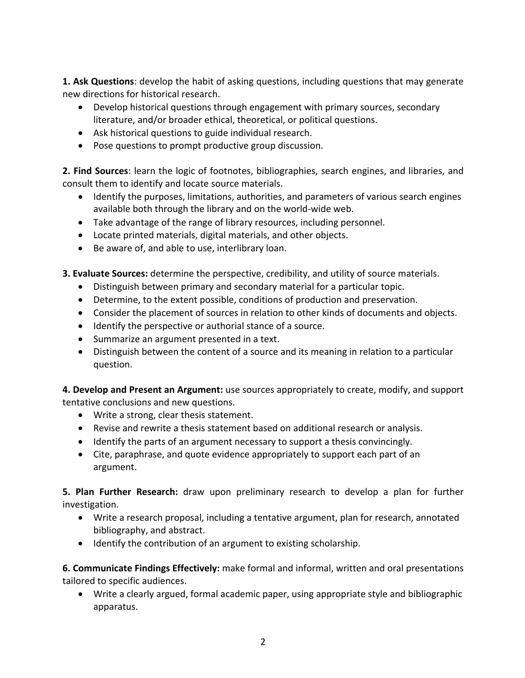**1. Ask Questions**: develop the habit of asking questions, including questions that may generate new directions for historical research.

- Develop historical questions through engagement with primary sources, secondary literature, and/or broader ethical, theoretical, or political questions.
- Ask historical questions to guide individual research.
- Pose questions to prompt productive group discussion.

**2. Find Sources**: learn the logic of footnotes, bibliographies, search engines, and libraries, and consult them to identify and locate source materials.

- Identify the purposes, limitations, authorities, and parameters of various search engines available both through the library and on the world-wide web.
- Take advantage of the range of library resources, including personnel.
- Locate printed materials, digital materials, and other objects.
- Be aware of, and able to use, interlibrary loan.

**3. Evaluate Sources:** determine the perspective, credibility, and utility of source materials.

- Distinguish between primary and secondary material for a particular topic.
- Determine, to the extent possible, conditions of production and preservation.
- Consider the placement of sources in relation to other kinds of documents and objects.
- Identify the perspective or authorial stance of a source.
- Summarize an argument presented in a text.
- Distinguish between the content of a source and its meaning in relation to a particular question.

**4. Develop and Present an Argument:** use sources appropriately to create, modify, and support tentative conclusions and new questions.

- Write a strong, clear thesis statement.
- Revise and rewrite a thesis statement based on additional research or analysis.
- Identify the parts of an argument necessary to support a thesis convincingly.
- Cite, paraphrase, and quote evidence appropriately to support each part of an argument.

**5. Plan Further Research:** draw upon preliminary research to develop a plan for further investigation.

- Write a research proposal, including a tentative argument, plan for research, annotated bibliography, and abstract.
- Identify the contribution of an argument to existing scholarship.

**6. Communicate Findings Effectively:** make formal and informal, written and oral presentations tailored to specific audiences.

• Write a clearly argued, formal academic paper, using appropriate style and bibliographic apparatus.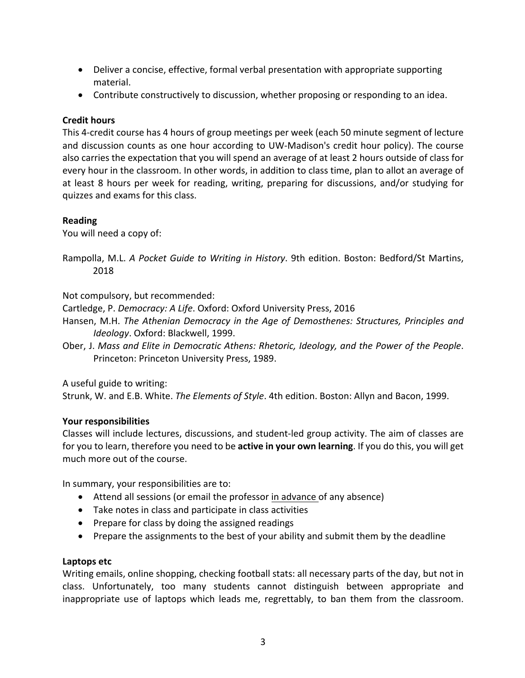- Deliver a concise, effective, formal verbal presentation with appropriate supporting material.
- Contribute constructively to discussion, whether proposing or responding to an idea.

# **Credit hours**

This 4-credit course has 4 hours of group meetings per week (each 50 minute segment of lecture and discussion counts as one hour according to UW-Madison's credit hour policy). The course also carries the expectation that you will spend an average of at least 2 hours outside of class for every hour in the classroom. In other words, in addition to class time, plan to allot an average of at least 8 hours per week for reading, writing, preparing for discussions, and/or studying for quizzes and exams for this class.

### **Reading**

You will need a copy of:

Rampolla, M.L. *A Pocket Guide to Writing in History*. 9th edition. Boston: Bedford/St Martins, 2018

Not compulsory, but recommended:

Cartledge, P. *Democracy: A Life*. Oxford: Oxford University Press, 2016

- Hansen, M.H. *The Athenian Democracy in the Age of Demosthenes: Structures, Principles and Ideology*. Oxford: Blackwell, 1999.
- Ober, J. *Mass and Elite in Democratic Athens: Rhetoric, Ideology, and the Power of the People*. Princeton: Princeton University Press, 1989.

A useful guide to writing:

Strunk, W. and E.B. White. *The Elements of Style*. 4th edition. Boston: Allyn and Bacon, 1999.

### **Your responsibilities**

Classes will include lectures, discussions, and student-led group activity. The aim of classes are for you to learn, therefore you need to be **active in your own learning**. If you do this, you will get much more out of the course.

In summary, your responsibilities are to:

- Attend all sessions (or email the professor in advance of any absence)
- Take notes in class and participate in class activities
- Prepare for class by doing the assigned readings
- Prepare the assignments to the best of your ability and submit them by the deadline

### **Laptops etc**

Writing emails, online shopping, checking football stats: all necessary parts of the day, but not in class. Unfortunately, too many students cannot distinguish between appropriate and inappropriate use of laptops which leads me, regrettably, to ban them from the classroom.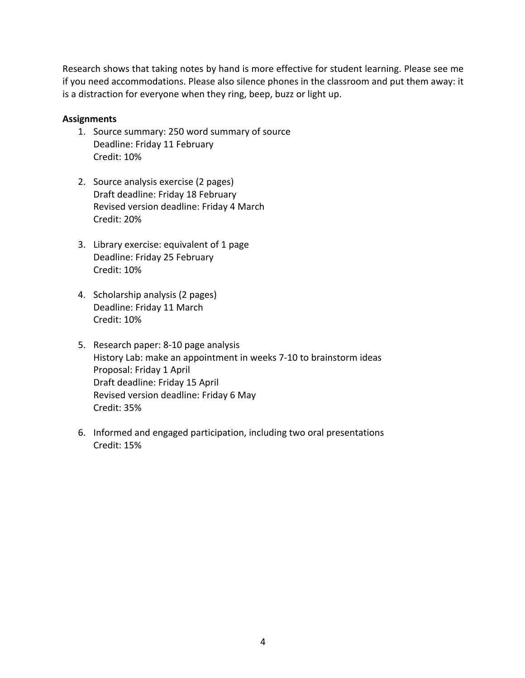Research shows that taking notes by hand is more effective for student learning. Please see me if you need accommodations. Please also silence phones in the classroom and put them away: it is a distraction for everyone when they ring, beep, buzz or light up.

### **Assignments**

- 1. Source summary: 250 word summary of source Deadline: Friday 11 February Credit: 10%
- 2. Source analysis exercise (2 pages) Draft deadline: Friday 18 February Revised version deadline: Friday 4 March Credit: 20%
- 3. Library exercise: equivalent of 1 page Deadline: Friday 25 February Credit: 10%
- 4. Scholarship analysis (2 pages) Deadline: Friday 11 March Credit: 10%
- 5. Research paper: 8-10 page analysis History Lab: make an appointment in weeks 7-10 to brainstorm ideas Proposal: Friday 1 April Draft deadline: Friday 15 April Revised version deadline: Friday 6 May Credit: 35%
- 6. Informed and engaged participation, including two oral presentations Credit: 15%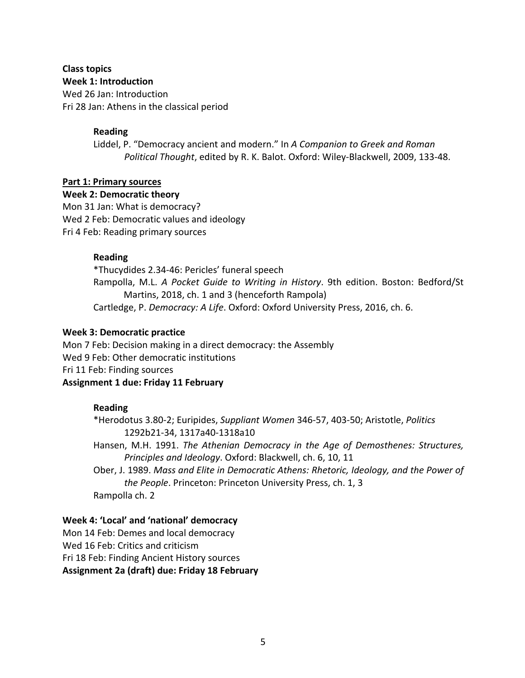### **Class topics Week 1: Introduction**

Wed 26 Jan: Introduction Fri 28 Jan: Athens in the classical period

# **Reading**

Liddel, P. "Democracy ancient and modern." In *A Companion to Greek and Roman Political Thought*, edited by R. K. Balot. Oxford: Wiley-Blackwell, 2009, 133-48.

## **Part 1: Primary sources**

**Week 2: Democratic theory** Mon 31 Jan: What is democracy? Wed 2 Feb: Democratic values and ideology Fri 4 Feb: Reading primary sources

## **Reading**

\*Thucydides 2.34-46: Pericles' funeral speech Rampolla, M.L. *A Pocket Guide to Writing in History*. 9th edition. Boston: Bedford/St Martins, 2018, ch. 1 and 3 (henceforth Rampola) Cartledge, P. *Democracy: A Life*. Oxford: Oxford University Press, 2016, ch. 6.

## **Week 3: Democratic practice**

Mon 7 Feb: Decision making in a direct democracy: the Assembly Wed 9 Feb: Other democratic institutions Fri 11 Feb: Finding sources **Assignment 1 due: Friday 11 February**

# **Reading**

\*Herodotus 3.80-2; Euripides, *Suppliant Women* 346-57, 403-50; Aristotle, *Politics* 1292b21-34, 1317a40-1318a10

Hansen, M.H. 1991. *The Athenian Democracy in the Age of Demosthenes: Structures, Principles and Ideology*. Oxford: Blackwell, ch. 6, 10, 11

Ober, J. 1989. *Mass and Elite in Democratic Athens: Rhetoric, Ideology, and the Power of the People*. Princeton: Princeton University Press, ch. 1, 3 Rampolla ch. 2

# **Week 4: 'Local' and 'national' democracy**

Mon 14 Feb: Demes and local democracy

Wed 16 Feb: Critics and criticism

Fri 18 Feb: Finding Ancient History sources

**Assignment 2a (draft) due: Friday 18 February**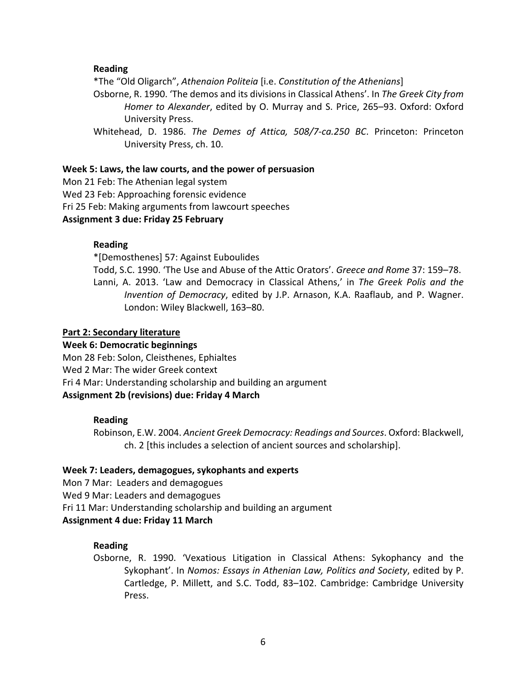### **Reading**

\*The "Old Oligarch", *Athenaion Politeia* [i.e. *Constitution of the Athenians*]

Osborne, R. 1990. 'The demos and its divisions in Classical Athens'. In *The Greek City from Homer to Alexander*, edited by O. Murray and S. Price, 265–93. Oxford: Oxford University Press.

Whitehead, D. 1986. *The Demes of Attica, 508/7-ca.250 BC*. Princeton: Princeton University Press, ch. 10.

#### **Week 5: Laws, the law courts, and the power of persuasion**

Mon 21 Feb: The Athenian legal system Wed 23 Feb: Approaching forensic evidence Fri 25 Feb: Making arguments from lawcourt speeches **Assignment 3 due: Friday 25 February**

#### **Reading**

\*[Demosthenes] 57: Against Euboulides

Todd, S.C. 1990. 'The Use and Abuse of the Attic Orators'. *Greece and Rome* 37: 159–78. Lanni, A. 2013. 'Law and Democracy in Classical Athens,' in *The Greek Polis and the Invention of Democracy*, edited by J.P. Arnason, K.A. Raaflaub, and P. Wagner. London: Wiley Blackwell, 163–80.

#### **Part 2: Secondary literature**

### **Week 6: Democratic beginnings**

Mon 28 Feb: Solon, Cleisthenes, Ephialtes Wed 2 Mar: The wider Greek context Fri 4 Mar: Understanding scholarship and building an argument **Assignment 2b (revisions) due: Friday 4 March**

#### **Reading**

Robinson, E.W. 2004. *Ancient Greek Democracy: Readings and Sources*. Oxford: Blackwell, ch. 2 [this includes a selection of ancient sources and scholarship].

#### **Week 7: Leaders, demagogues, sykophants and experts**

Mon 7 Mar: Leaders and demagogues

Wed 9 Mar: Leaders and demagogues

Fri 11 Mar: Understanding scholarship and building an argument

### **Assignment 4 due: Friday 11 March**

### **Reading**

Osborne, R. 1990. 'Vexatious Litigation in Classical Athens: Sykophancy and the Sykophant'. In *Nomos: Essays in Athenian Law, Politics and Society*, edited by P. Cartledge, P. Millett, and S.C. Todd, 83–102. Cambridge: Cambridge University Press.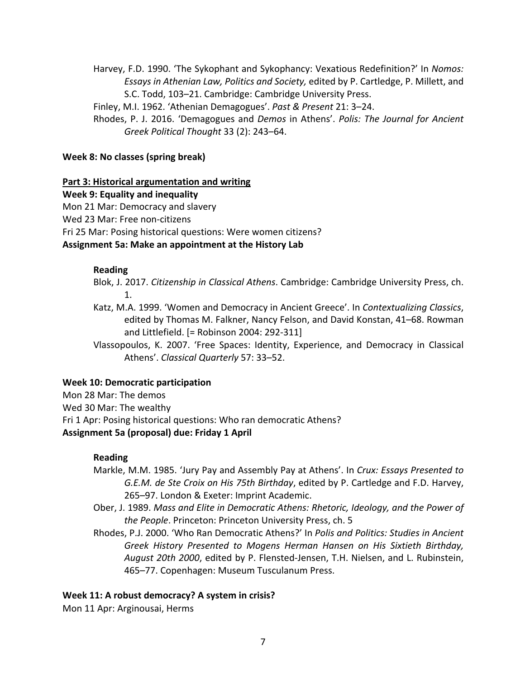Harvey, F.D. 1990. 'The Sykophant and Sykophancy: Vexatious Redefinition?' In *Nomos: Essays in Athenian Law, Politics and Society,* edited by P. Cartledge, P. Millett, and S.C. Todd, 103–21. Cambridge: Cambridge University Press.

Finley, M.I. 1962. 'Athenian Demagogues'. *Past & Present* 21: 3–24.

Rhodes, P. J. 2016. 'Demagogues and *Demos* in Athens'. *Polis: The Journal for Ancient Greek Political Thought* 33 (2): 243–64.

### **Week 8: No classes (spring break)**

## **Part 3: Historical argumentation and writing**

**Week 9: Equality and inequality** Mon 21 Mar: Democracy and slavery Wed 23 Mar: Free non-citizens Fri 25 Mar: Posing historical questions: Were women citizens? **Assignment 5a: Make an appointment at the History Lab**

### **Reading**

Blok, J. 2017. *Citizenship in Classical Athens*. Cambridge: Cambridge University Press, ch. 1.

Katz, M.A. 1999. 'Women and Democracy in Ancient Greece'. In *Contextualizing Classics*, edited by Thomas M. Falkner, Nancy Felson, and David Konstan, 41–68. Rowman and Littlefield. [= Robinson 2004: 292-311]

Vlassopoulos, K. 2007. 'Free Spaces: Identity, Experience, and Democracy in Classical Athens'. *Classical Quarterly* 57: 33–52.

### **Week 10: Democratic participation**

Mon 28 Mar: The demos Wed 30 Mar: The wealthy Fri 1 Apr: Posing historical questions: Who ran democratic Athens? **Assignment 5a (proposal) due: Friday 1 April**

# **Reading**

- Markle, M.M. 1985. 'Jury Pay and Assembly Pay at Athens'. In *Crux: Essays Presented to G.E.M. de Ste Croix on His 75th Birthday*, edited by P. Cartledge and F.D. Harvey, 265–97. London & Exeter: Imprint Academic.
- Ober, J. 1989. *Mass and Elite in Democratic Athens: Rhetoric, Ideology, and the Power of the People*. Princeton: Princeton University Press, ch. 5
- Rhodes, P.J. 2000. 'Who Ran Democratic Athens?' In *Polis and Politics: Studies in Ancient Greek History Presented to Mogens Herman Hansen on His Sixtieth Birthday, August 20th 2000*, edited by P. Flensted-Jensen, T.H. Nielsen, and L. Rubinstein, 465–77. Copenhagen: Museum Tusculanum Press.

### **Week 11: A robust democracy? A system in crisis?**

Mon 11 Apr: Arginousai, Herms